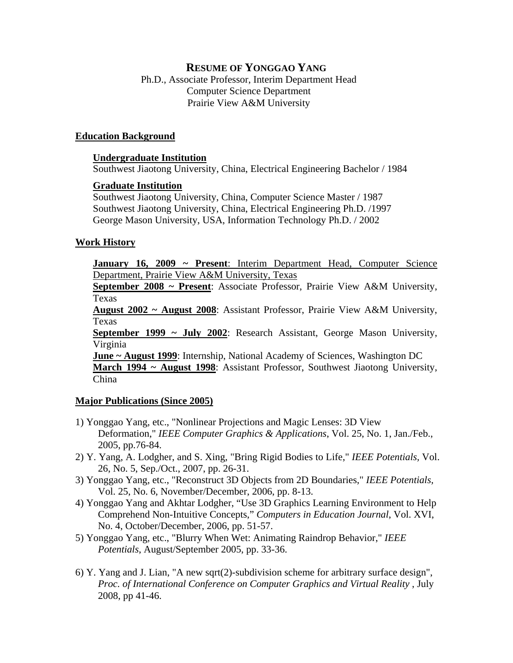# **RESUME OF YONGGAO YANG**

Ph.D., Associate Professor, Interim Department Head Computer Science Department Prairie View A&M University

### **Education Background**

#### **Undergraduate Institution**

Southwest Jiaotong University, China, Electrical Engineering Bachelor / 1984

### **Graduate Institution**

Southwest Jiaotong University, China, Computer Science Master / 1987 Southwest Jiaotong University, China, Electrical Engineering Ph.D. /1997 George Mason University, USA, Information Technology Ph.D. / 2002

## **Work History**

**January 16, 2009 ~ Present**: Interim Department Head, Computer Science Department, Prairie View A&M University, Texas

**September 2008 ~ Present**: Associate Professor, Prairie View A&M University, Texas

**August 2002 ~ August 2008**: Assistant Professor, Prairie View A&M University, Texas

**September 1999 ~ July 2002**: Research Assistant, George Mason University, Virginia

**June ~ August 1999**: Internship, National Academy of Sciences, Washington DC **March 1994 ~ August 1998**: Assistant Professor, Southwest Jiaotong University, China

## **Major Publications (Since 2005)**

- 1) Yonggao Yang, etc., "Nonlinear Projections and Magic Lenses: 3D View Deformation," *IEEE Computer Graphics & Applications*, Vol. 25, No. 1, Jan./Feb., 2005, pp.76-84.
- 2) Y. Yang, A. Lodgher, and S. Xing, "Bring Rigid Bodies to Life," *IEEE Potentials,* Vol. 26, No. 5, Sep./Oct., 2007, pp. 26-31.
- 3) Yonggao Yang, etc., "Reconstruct 3D Objects from 2D Boundaries," *IEEE Potentials,*  Vol. 25, No. 6, November/December, 2006, pp. 8-13.
- 4) Yonggao Yang and Akhtar Lodgher, "Use 3D Graphics Learning Environment to Help Comprehend Non-Intuitive Concepts," *Computers in Education Journal*, Vol. XVI, No. 4, October/December, 2006, pp. 51-57.
- 5) Yonggao Yang, etc., "Blurry When Wet: Animating Raindrop Behavior," *IEEE Potentials*, August/September 2005, pp. 33-36.
- 6) Y. Yang and J. Lian, "A new sqrt(2)-subdivision scheme for arbitrary surface design", Proc. of International Conference on Computer Graphics and Virtual Reality, July 2008, pp 41-46.